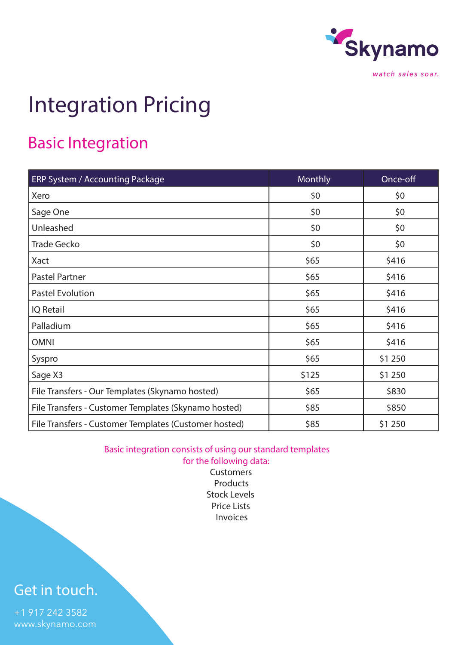

# Integration Pricing

### Basic Integration

| ERP System / Accounting Package                       | Monthly | Once-off |
|-------------------------------------------------------|---------|----------|
| Xero                                                  | \$0     | \$0      |
| Sage One                                              | \$0     | \$0      |
| Unleashed                                             | \$0     | \$0      |
| <b>Trade Gecko</b>                                    | \$0     | \$0      |
| Xact                                                  | \$65    | \$416    |
| Pastel Partner                                        | \$65    | \$416    |
| <b>Pastel Evolution</b>                               | \$65    | \$416    |
| <b>IQ</b> Retail                                      | \$65    | \$416    |
| Palladium                                             | \$65    | \$416    |
| <b>OMNI</b>                                           | \$65    | \$416    |
| Syspro                                                | \$65    | \$1 250  |
| Sage X3                                               | \$125   | \$1 250  |
| File Transfers - Our Templates (Skynamo hosted)       | \$65    | \$830    |
| File Transfers - Customer Templates (Skynamo hosted)  | \$85    | \$850    |
| File Transfers - Customer Templates (Customer hosted) | \$85    | \$1 250  |

Basic integration consists of using our standard templates

for the following data: **Customers** Products Stock Levels Price Lists Invoices

#### Get in touch.

+1 917 242 3582 www.skynamo.com